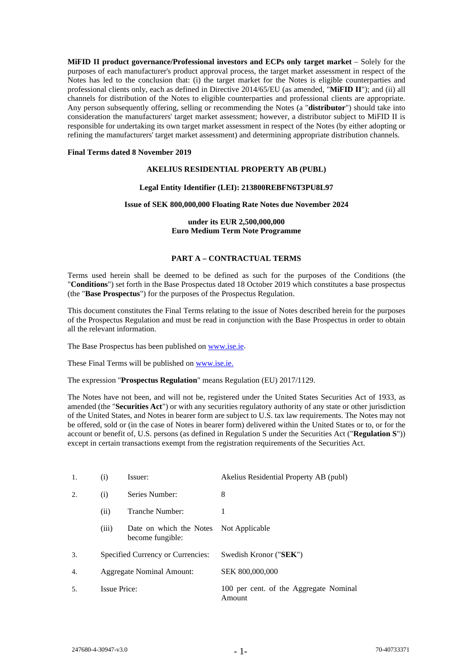**MiFID II product governance/Professional investors and ECPs only target market** – Solely for the purposes of each manufacturer's product approval process, the target market assessment in respect of the Notes has led to the conclusion that: (i) the target market for the Notes is eligible counterparties and professional clients only, each as defined in Directive 2014/65/EU (as amended, "**MiFID II**"); and (ii) all channels for distribution of the Notes to eligible counterparties and professional clients are appropriate. Any person subsequently offering, selling or recommending the Notes (a "**distributor**") should take into consideration the manufacturers' target market assessment; however, a distributor subject to MiFID II is responsible for undertaking its own target market assessment in respect of the Notes (by either adopting or refining the manufacturers' target market assessment) and determining appropriate distribution channels.

## **Final Terms dated 8 November 2019**

## **AKELIUS RESIDENTIAL PROPERTY AB (PUBL)**

## **Legal Entity Identifier (LEI): 213800REBFN6T3PU8L97**

## **Issue of SEK 800,000,000 Floating Rate Notes due November 2024**

## **under its EUR 2,500,000,000 Euro Medium Term Note Programme**

## **PART A – CONTRACTUAL TERMS**

Terms used herein shall be deemed to be defined as such for the purposes of the Conditions (the "**Conditions**") set forth in the Base Prospectus dated 18 October 2019 which constitutes a base prospectus (the "**Base Prospectus**") for the purposes of the Prospectus Regulation.

This document constitutes the Final Terms relating to the issue of Notes described herein for the purposes of the Prospectus Regulation and must be read in conjunction with the Base Prospectus in order to obtain all the relevant information.

The Base Prospectus has been published on [www.ise.ie.](http://www.ise.ie/)

These Final Terms will be published o[n www.ise.ie.](http://www.ise.ie/)

The expression "**Prospectus Regulation**" means Regulation (EU) 2017/1129.

The Notes have not been, and will not be, registered under the United States Securities Act of 1933, as amended (the "**Securities Act**") or with any securities regulatory authority of any state or other jurisdiction of the United States, and Notes in bearer form are subject to U.S. tax law requirements. The Notes may not be offered, sold or (in the case of Notes in bearer form) delivered within the United States or to, or for the account or benefit of, U.S. persons (as defined in Regulation S under the Securities Act ("**Regulation S**")) except in certain transactions exempt from the registration requirements of the Securities Act.

| 1.  | $\rm(i)$                          | Issuer:                                                    | Akelius Residential Property AB (publ)           |
|-----|-----------------------------------|------------------------------------------------------------|--------------------------------------------------|
| 2.  | Series Number:<br>(i)             |                                                            | 8                                                |
|     | (ii)                              | Tranche Number:                                            |                                                  |
|     | (iii)                             | Date on which the Notes Not Applicable<br>become fungible: |                                                  |
| 3.  | Specified Currency or Currencies: |                                                            | Swedish Kronor ("SEK")                           |
| 4.  | Aggregate Nominal Amount:         |                                                            | SEK 800,000,000                                  |
| .5. | <b>Issue Price:</b>               |                                                            | 100 per cent. of the Aggregate Nominal<br>Amount |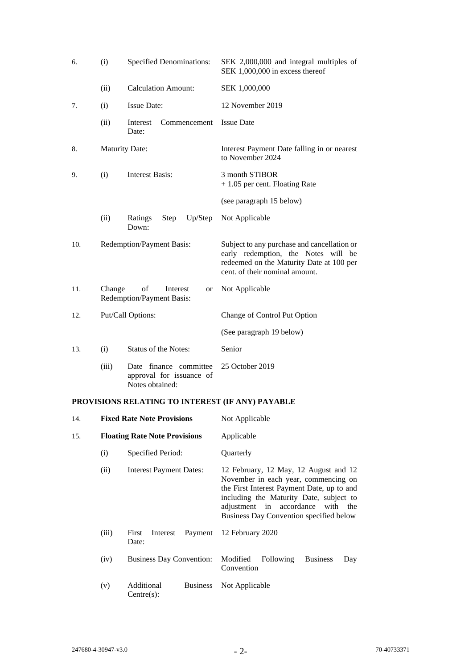| 6.                                  | <b>Specified Denominations:</b><br>(i) |                                                                       | SEK 2,000,000 and integral multiples of<br>SEK 1,000,000 in excess thereof                                                                                       |
|-------------------------------------|----------------------------------------|-----------------------------------------------------------------------|------------------------------------------------------------------------------------------------------------------------------------------------------------------|
|                                     | (ii)                                   | <b>Calculation Amount:</b>                                            | SEK 1,000,000                                                                                                                                                    |
| 7.                                  | (i)                                    | <b>Issue Date:</b>                                                    | 12 November 2019                                                                                                                                                 |
|                                     | (ii)                                   | Interest<br>Commencement<br>Date:                                     | <b>Issue Date</b>                                                                                                                                                |
| 8.                                  |                                        | <b>Maturity Date:</b>                                                 | Interest Payment Date falling in or nearest<br>to November 2024                                                                                                  |
| <b>Interest Basis:</b><br>(i)<br>9. |                                        |                                                                       | 3 month STIBOR<br>$+1.05$ per cent. Floating Rate                                                                                                                |
|                                     |                                        |                                                                       | (see paragraph 15 below)                                                                                                                                         |
|                                     | (ii)                                   | Up/Step<br>Ratings<br>Step<br>Down:                                   | Not Applicable                                                                                                                                                   |
| 10.                                 |                                        | Redemption/Payment Basis:                                             | Subject to any purchase and cancellation or<br>early redemption, the Notes will be<br>redeemed on the Maturity Date at 100 per<br>cent. of their nominal amount. |
| 11.                                 | Change                                 | of<br>Interest<br>or<br>Redemption/Payment Basis:                     | Not Applicable                                                                                                                                                   |
| 12.                                 | Put/Call Options:                      |                                                                       | Change of Control Put Option                                                                                                                                     |
|                                     |                                        |                                                                       | (See paragraph 19 below)                                                                                                                                         |
| 13.                                 | (i)                                    | <b>Status of the Notes:</b>                                           | Senior                                                                                                                                                           |
|                                     | (iii)                                  | Date finance committee<br>approval for issuance of<br>Notes obtained: | 25 October 2019                                                                                                                                                  |

# **PROVISIONS RELATING TO INTEREST (IF ANY) PAYABLE**

| 14. |       | <b>Fixed Rate Note Provisions</b>           | Not Applicable                                                                                                                                                                                                                                         |  |
|-----|-------|---------------------------------------------|--------------------------------------------------------------------------------------------------------------------------------------------------------------------------------------------------------------------------------------------------------|--|
| 15. |       | <b>Floating Rate Note Provisions</b>        | Applicable                                                                                                                                                                                                                                             |  |
|     | (i)   | Specified Period:                           | Quarterly                                                                                                                                                                                                                                              |  |
|     | (ii)  | <b>Interest Payment Dates:</b>              | 12 February, 12 May, 12 August and 12<br>November in each year, commencing on<br>the First Interest Payment Date, up to and<br>including the Maturity Date, subject to<br>adjustment in accordance with the<br>Business Day Convention specified below |  |
|     | (iii) | Payment<br>First<br>Interest<br>Date:       | 12 February 2020                                                                                                                                                                                                                                       |  |
|     | (iv)  | <b>Business Day Convention:</b>             | Modified<br><b>Following</b><br><b>Business</b><br>Day<br>Convention                                                                                                                                                                                   |  |
|     | (v)   | Additional<br><b>Business</b><br>Centre(s): | Not Applicable                                                                                                                                                                                                                                         |  |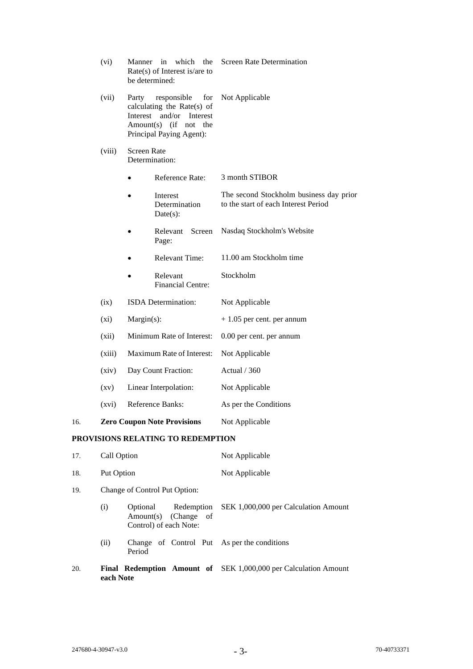|     | (vi)               | Manner                                                                                                                                     | in which the<br>$Rate(s)$ of Interest is/are to<br>be determined: | Screen Rate Determination                                                       |  |
|-----|--------------------|--------------------------------------------------------------------------------------------------------------------------------------------|-------------------------------------------------------------------|---------------------------------------------------------------------------------|--|
|     | (vii)              | Party<br>responsible<br>for<br>calculating the Rate(s) of<br>Interest and/or Interest<br>Amount(s) (if not the<br>Principal Paying Agent): |                                                                   | Not Applicable                                                                  |  |
|     | (viii)             | Screen Rate<br>Determination:                                                                                                              |                                                                   |                                                                                 |  |
|     |                    |                                                                                                                                            | Reference Rate:                                                   | 3 month STIBOR                                                                  |  |
|     |                    |                                                                                                                                            | Interest<br>Determination<br>Date(s):                             | The second Stockholm business day prior<br>to the start of each Interest Period |  |
|     |                    |                                                                                                                                            | Relevant<br>Screen<br>Page:                                       | Nasdaq Stockholm's Website                                                      |  |
|     |                    |                                                                                                                                            | <b>Relevant Time:</b>                                             | 11.00 am Stockholm time                                                         |  |
|     |                    |                                                                                                                                            | Relevant<br><b>Financial Centre:</b>                              | Stockholm                                                                       |  |
|     | (ix)               | ISDA Determination:<br>$Margin(s)$ :<br>Minimum Rate of Interest:<br>Maximum Rate of Interest:<br>Day Count Fraction:                      |                                                                   | Not Applicable                                                                  |  |
|     | $(x_i)$            |                                                                                                                                            |                                                                   | $+1.05$ per cent. per annum                                                     |  |
|     | (xii)              |                                                                                                                                            |                                                                   | 0.00 per cent. per annum                                                        |  |
|     | (xiii)             |                                                                                                                                            |                                                                   | Not Applicable                                                                  |  |
|     | (xiv)              |                                                                                                                                            |                                                                   | Actual / 360                                                                    |  |
|     | $\left( xy\right)$ |                                                                                                                                            | Linear Interpolation:                                             | Not Applicable                                                                  |  |
|     | (xvi)              |                                                                                                                                            | Reference Banks:                                                  | As per the Conditions                                                           |  |
| 16. |                    |                                                                                                                                            | <b>Zero Coupon Note Provisions</b>                                | Not Applicable                                                                  |  |
|     |                    |                                                                                                                                            | PROVISIONS RELATING TO REDEMPTION                                 |                                                                                 |  |
| 17. | Call Option        |                                                                                                                                            |                                                                   | Not Applicable                                                                  |  |
| 18. | Put Option         |                                                                                                                                            |                                                                   | Not Applicable                                                                  |  |

- 19. Change of Control Put Option:
	- (i) Optional Redemption SEK 1,000,000 per Calculation Amount Amount(s) (Change of Control) of each Note:
	- (ii) Change of Control Put As per the conditions Period
- 20. **Final Redemption Amount of**  SEK 1,000,000 per Calculation Amount**each Note**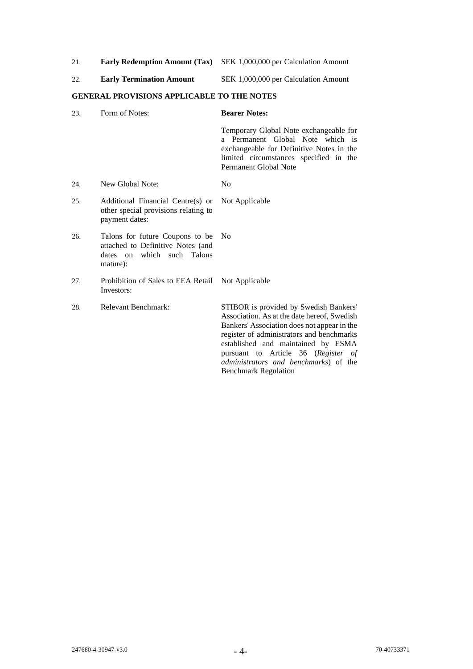| 21. | <b>Early Redemption Amount (Tax)</b> SEK 1,000,000 per Calculation Amount |
|-----|---------------------------------------------------------------------------|
|-----|---------------------------------------------------------------------------|

| <b>Early Termination Amount</b><br>22. | SEK 1,000,000 per Calculation Amount |
|----------------------------------------|--------------------------------------|
|----------------------------------------|--------------------------------------|

## **GENERAL PROVISIONS APPLICABLE TO THE NOTES**

| 23. | Form of Notes:                                                                                                 | <b>Bearer Notes:</b>                                                                                                                                                                                                                                                                                                                           |
|-----|----------------------------------------------------------------------------------------------------------------|------------------------------------------------------------------------------------------------------------------------------------------------------------------------------------------------------------------------------------------------------------------------------------------------------------------------------------------------|
|     |                                                                                                                | Temporary Global Note exchangeable for<br>a Permanent Global Note which is<br>exchangeable for Definitive Notes in the<br>limited circumstances specified in the<br>Permanent Global Note                                                                                                                                                      |
| 24. | New Global Note:                                                                                               | N <sub>o</sub>                                                                                                                                                                                                                                                                                                                                 |
| 25. | Additional Financial Centre(s) or<br>other special provisions relating to<br>payment dates:                    | Not Applicable                                                                                                                                                                                                                                                                                                                                 |
| 26. | Talons for future Coupons to be<br>attached to Definitive Notes (and<br>dates on which such Talons<br>mature): | No                                                                                                                                                                                                                                                                                                                                             |
| 27. | Prohibition of Sales to EEA Retail<br>Investors:                                                               | Not Applicable                                                                                                                                                                                                                                                                                                                                 |
| 28. | <b>Relevant Benchmark:</b>                                                                                     | STIBOR is provided by Swedish Bankers'<br>Association. As at the date hereof, Swedish<br>Bankers' Association does not appear in the<br>register of administrators and benchmarks<br>established and maintained by ESMA<br>pursuant to Article 36 (Register of<br><i>administrators and benchmarks</i> ) of the<br><b>Benchmark Regulation</b> |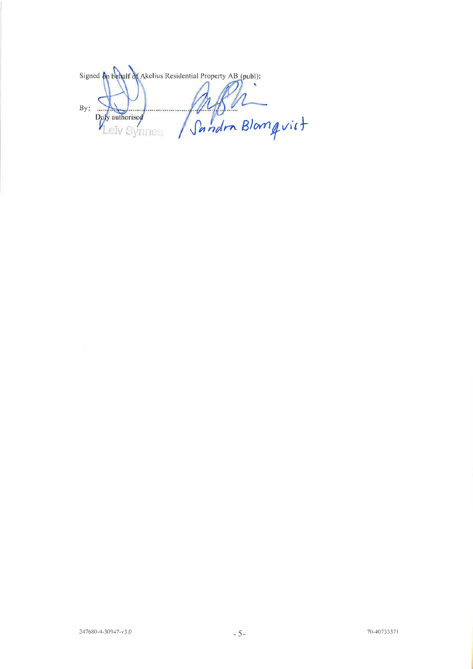Signed on behalf of Akelius Residential Property AB (publ):  $By:$ Pandra Blomqvist Ÿ .... Duly authorised elv Synnes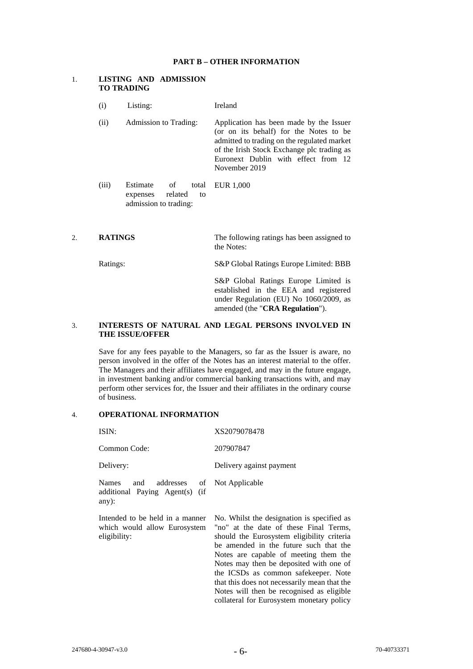### **PART B – OTHER INFORMATION**

## 1. **LISTING AND ADMISSION TO TRADING**

- (i) Listing: Ireland
- (ii) Admission to Trading: Application has been made by the Issuer (or on its behalf) for the Notes to be admitted to trading on the regulated market of the Irish Stock Exchange plc trading as Euronext Dublin with effect from 12 November 2019
- (iii) Estimate of total expenses related to admission to trading: EUR 1,000
- 2. **RATINGS** The following ratings has been assigned to the Notes:

Ratings: S&P Global Ratings Europe Limited: BBB

S&P Global Ratings Europe Limited is established in the EEA and registered under Regulation (EU) No 1060/2009, as amended (the "**CRA Regulation**").

## 3. **INTERESTS OF NATURAL AND LEGAL PERSONS INVOLVED IN THE ISSUE/OFFER**

Save for any fees payable to the Managers, so far as the Issuer is aware, no person involved in the offer of the Notes has an interest material to the offer. The Managers and their affiliates have engaged, and may in the future engage, in investment banking and/or commercial banking transactions with, and may perform other services for, the Issuer and their affiliates in the ordinary course of business.

## 4. **OPERATIONAL INFORMATION**

| ISIN:                                                                           | XS2079078478                                                                                                                                                                                                                                                                                                                                                                                                                                       |
|---------------------------------------------------------------------------------|----------------------------------------------------------------------------------------------------------------------------------------------------------------------------------------------------------------------------------------------------------------------------------------------------------------------------------------------------------------------------------------------------------------------------------------------------|
| Common Code:                                                                    | 207907847                                                                                                                                                                                                                                                                                                                                                                                                                                          |
| Delivery:                                                                       | Delivery against payment                                                                                                                                                                                                                                                                                                                                                                                                                           |
| Names<br>addresses of<br>and<br>additional Paying Agent(s) (if<br>any):         | Not Applicable                                                                                                                                                                                                                                                                                                                                                                                                                                     |
| Intended to be held in a manner<br>which would allow Eurosystem<br>eligibility: | No. Whilst the designation is specified as<br>"no" at the date of these Final Terms,<br>should the Eurosystem eligibility criteria<br>be amended in the future such that the<br>Notes are capable of meeting them the<br>Notes may then be deposited with one of<br>the ICSDs as common safekeeper. Note<br>that this does not necessarily mean that the<br>Notes will then be recognised as eligible<br>collateral for Eurosystem monetary policy |